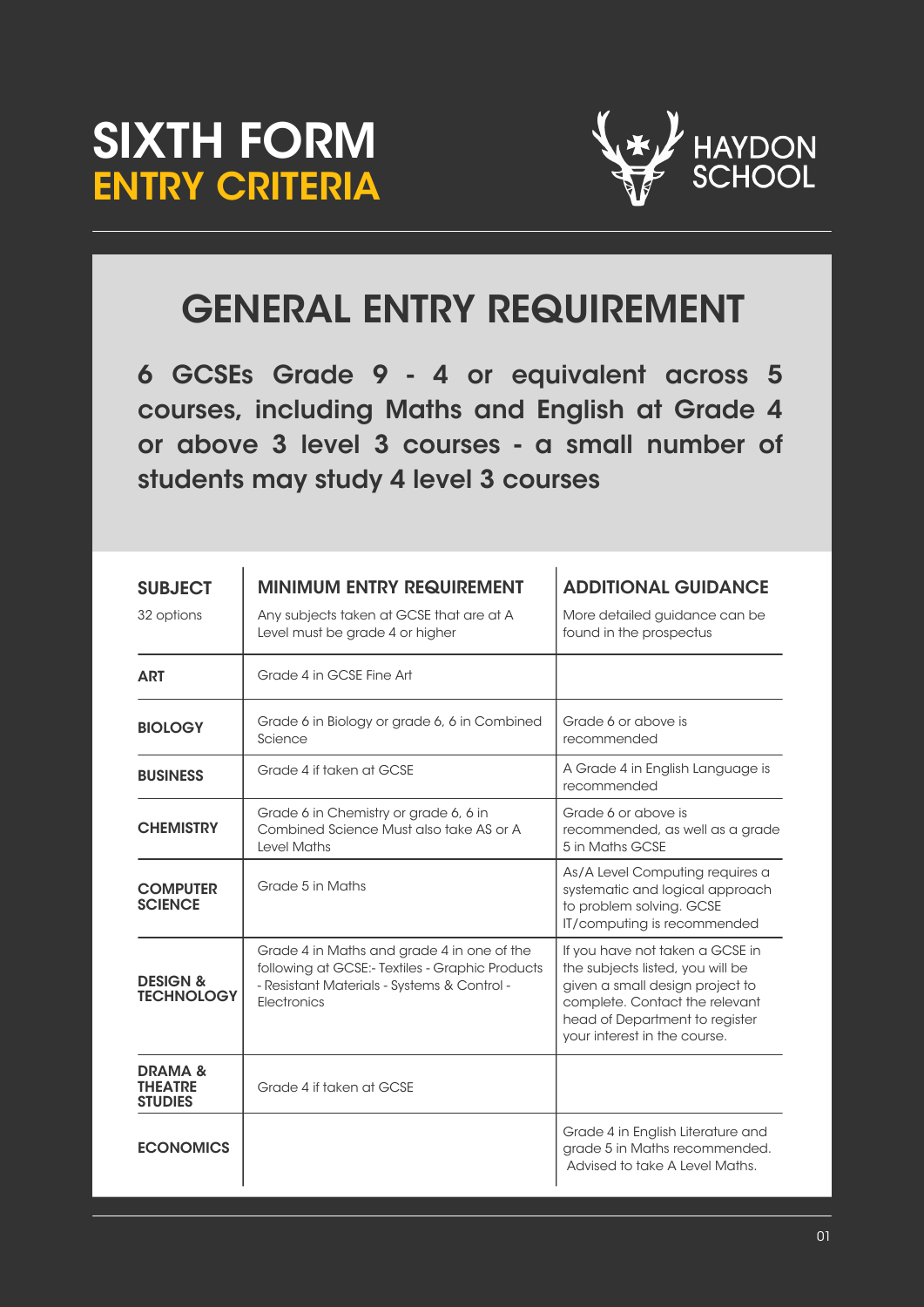



## GENERAL ENTRY REQUIREMENT

6 GCSEs Grade 9 - 4 or equivalent across 5 courses, including Maths and English at Grade 4 or above 3 level 3 courses - a small number of students may study 4 level 3 courses

| <b>SUBJECT</b><br>32 options                   | <b>MINIMUM ENTRY REQUIREMENT</b><br>Any subjects taken at GCSE that are at A<br>Level must be grade 4 or higher                                                    | <b>ADDITIONAL GUIDANCE</b><br>More detailed guidance can be<br>found in the prospectus                                                                                                                     |
|------------------------------------------------|--------------------------------------------------------------------------------------------------------------------------------------------------------------------|------------------------------------------------------------------------------------------------------------------------------------------------------------------------------------------------------------|
| <b>ART</b>                                     | Grade 4 in GCSE Fine Art                                                                                                                                           |                                                                                                                                                                                                            |
| <b>BIOLOGY</b>                                 | Grade 6 in Biology or grade 6, 6 in Combined<br>Science                                                                                                            | Grade 6 or above is<br>recommended                                                                                                                                                                         |
| <b>BUSINESS</b>                                | Grade 4 if taken at GCSE                                                                                                                                           | A Grade 4 in English Language is<br>recommended                                                                                                                                                            |
| <b>CHEMISTRY</b>                               | Grade 6 in Chemistry or grade 6, 6 in<br>Combined Science Must also take AS or A<br><b>Level Maths</b>                                                             | Grade 6 or above is<br>recommended, as well as a grade<br>5 in Maths GCSE                                                                                                                                  |
| <b>COMPUTER</b><br><b>SCIENCE</b>              | Grade 5 in Maths                                                                                                                                                   | As/A Level Computing requires a<br>systematic and logical approach<br>to problem solving. GCSE<br>IT/computing is recommended                                                                              |
| <b>DESIGN &amp;</b><br><b>TECHNOLOGY</b>       | Grade 4 in Maths and grade 4 in one of the<br>following at GCSE:- Textiles - Graphic Products<br>- Resistant Materials - Systems & Control -<br><b>Flectronics</b> | If you have not taken a GCSE in<br>the subjects listed, you will be<br>given a small design project to<br>complete. Contact the relevant<br>head of Department to register<br>your interest in the course. |
| <b>DRAMA&amp;</b><br>THEATRE<br><b>STUDIES</b> | Grade 4 if taken at GCSE                                                                                                                                           |                                                                                                                                                                                                            |
| <b>ECONOMICS</b>                               |                                                                                                                                                                    | Grade 4 in English Literature and<br>grade 5 in Maths recommended.<br>Advised to take A Level Maths.                                                                                                       |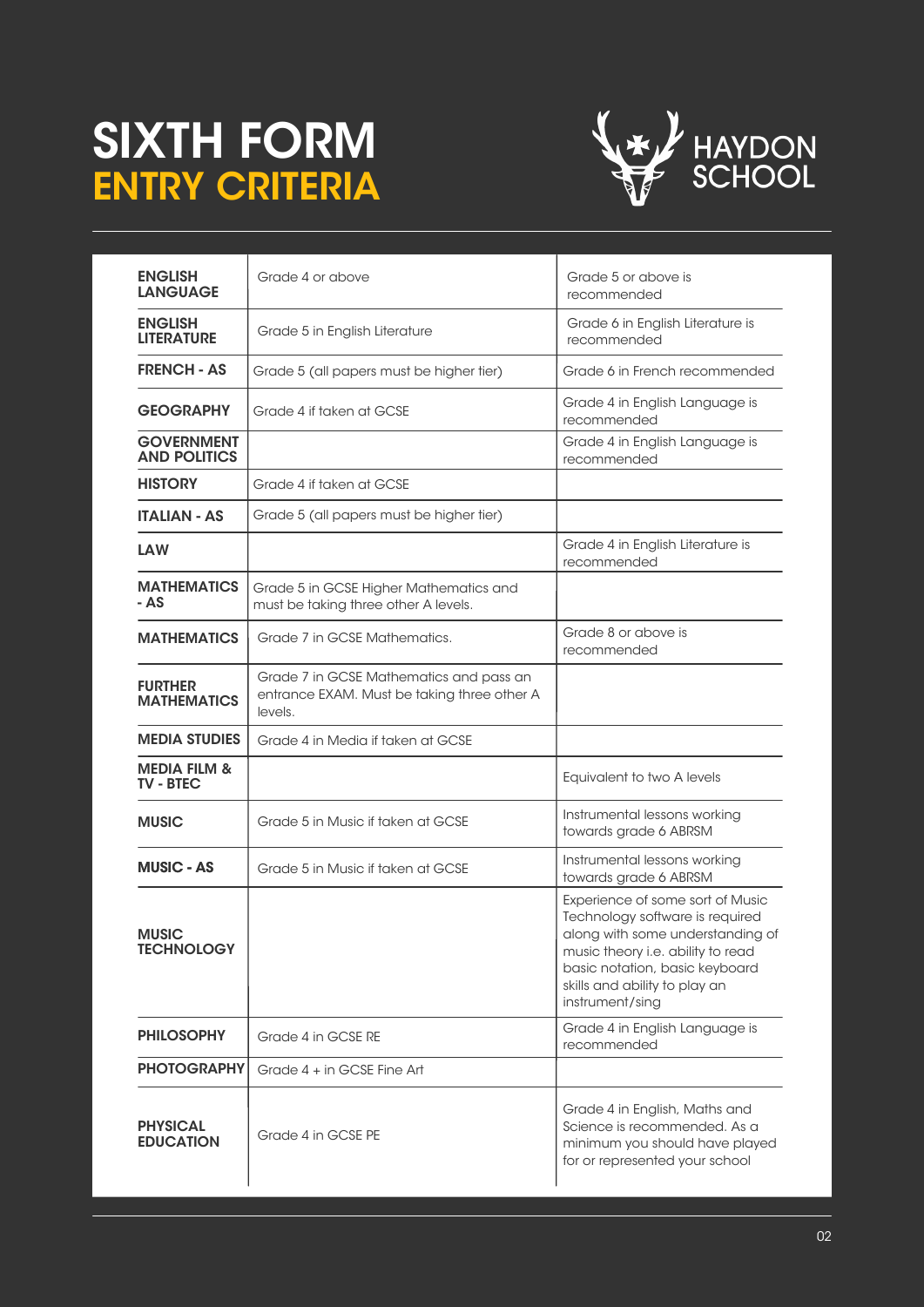## SIXTH FORM ENTRY CRITERIA



| <b>ENGLISH</b><br><b>LANGUAGE</b>           | Grade 4 or above                                                                                  | Grade 5 or above is<br>recommended                                                                                                                                                                                                 |
|---------------------------------------------|---------------------------------------------------------------------------------------------------|------------------------------------------------------------------------------------------------------------------------------------------------------------------------------------------------------------------------------------|
| <b>ENGLISH</b><br><b>LITERATURE</b>         | Grade 5 in English Literature                                                                     | Grade 6 in English Literature is<br>recommended                                                                                                                                                                                    |
| <b>FRENCH - AS</b>                          | Grade 5 (all papers must be higher tier)                                                          | Grade 6 in French recommended                                                                                                                                                                                                      |
| <b>GEOGRAPHY</b>                            | Grade 4 if taken at GCSE                                                                          | Grade 4 in English Language is<br>recommended                                                                                                                                                                                      |
| <b>GOVERNMENT</b><br><b>AND POLITICS</b>    |                                                                                                   | Grade 4 in English Language is<br>recommended                                                                                                                                                                                      |
| <b>HISTORY</b>                              | Grade 4 if taken at GCSE                                                                          |                                                                                                                                                                                                                                    |
| <b>ITALIAN - AS</b>                         | Grade 5 (all papers must be higher tier)                                                          |                                                                                                                                                                                                                                    |
| <b>LAW</b>                                  |                                                                                                   | Grade 4 in English Literature is<br>recommended                                                                                                                                                                                    |
| <b>MATHEMATICS</b><br>- AS                  | Grade 5 in GCSE Higher Mathematics and<br>must be taking three other A levels.                    |                                                                                                                                                                                                                                    |
| <b>MATHEMATICS</b>                          | Grade 7 in GCSE Mathematics.                                                                      | Grade 8 or above is<br>recommended                                                                                                                                                                                                 |
| <b>FURTHER</b><br><b>MATHEMATICS</b>        | Grade 7 in GCSE Mathematics and pass an<br>entrance EXAM. Must be taking three other A<br>levels. |                                                                                                                                                                                                                                    |
| <b>MEDIA STUDIES</b>                        | Grade 4 in Media if taken at GCSE                                                                 |                                                                                                                                                                                                                                    |
| <b>MEDIA FILM &amp;</b><br><b>TV - BTEC</b> |                                                                                                   | Equivalent to two A levels                                                                                                                                                                                                         |
| <b>MUSIC</b>                                | Grade 5 in Music if taken at GCSE                                                                 | Instrumental lessons working<br>towards grade 6 ABRSM                                                                                                                                                                              |
| <b>MUSIC - AS</b>                           | Grade 5 in Music if taken at GCSE                                                                 | Instrumental lessons working<br>towards grade 6 ABRSM                                                                                                                                                                              |
| <b>MUSIC</b><br><b>TECHNOLOGY</b>           |                                                                                                   | Experience of some sort of Music<br>Technology software is required<br>along with some understanding of<br>music theory i.e. ability to read<br>basic notation, basic keyboard<br>skills and ability to play an<br>instrument/sing |
| <b>PHILOSOPHY</b>                           | Grade 4 in GCSE RE                                                                                | Grade 4 in English Language is<br>recommended                                                                                                                                                                                      |
| <b>PHOTOGRAPHY</b>                          | Grade 4 + in GCSE Fine Art                                                                        |                                                                                                                                                                                                                                    |
| <b>PHYSICAL</b><br><b>EDUCATION</b>         | Grade 4 in GCSE PE                                                                                | Grade 4 in English, Maths and<br>Science is recommended. As a<br>minimum you should have played<br>for or represented your school                                                                                                  |